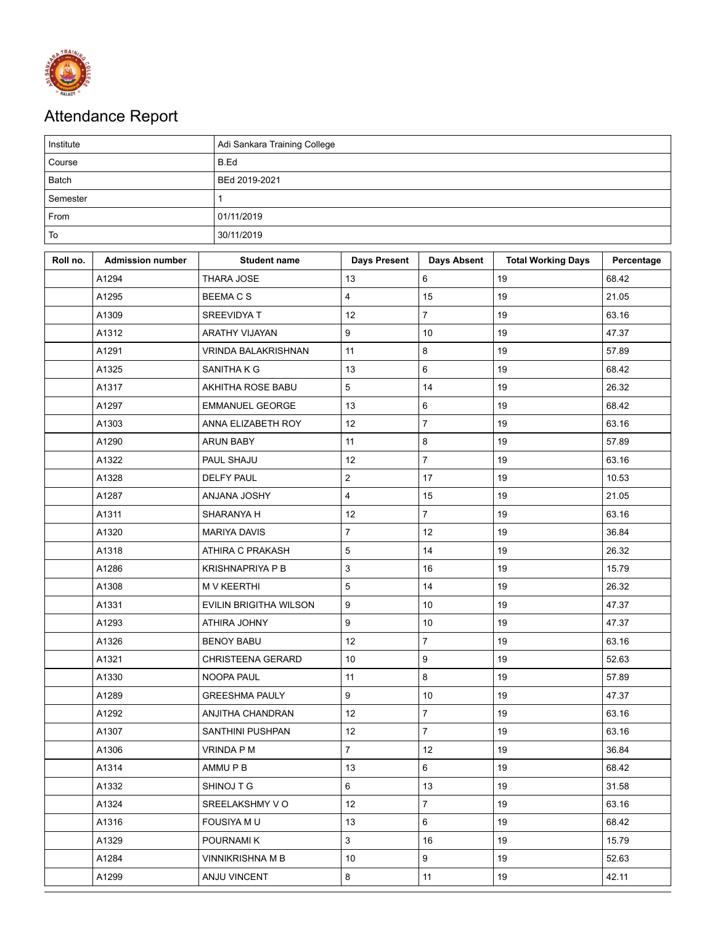

## Attendance Report

| Institute    |                         |                               | Adi Sankara Training College |                    |                           |            |  |  |  |
|--------------|-------------------------|-------------------------------|------------------------------|--------------------|---------------------------|------------|--|--|--|
| Course       |                         | B.Ed                          |                              |                    |                           |            |  |  |  |
| <b>Batch</b> |                         | BEd 2019-2021                 |                              |                    |                           |            |  |  |  |
| Semester     |                         | $\mathbf{1}$                  |                              |                    |                           |            |  |  |  |
| From         |                         | 01/11/2019                    |                              |                    |                           |            |  |  |  |
| To           |                         | 30/11/2019                    |                              |                    |                           |            |  |  |  |
| Roll no.     | <b>Admission number</b> | <b>Student name</b>           | <b>Days Present</b>          | <b>Days Absent</b> | <b>Total Working Days</b> | Percentage |  |  |  |
|              | A1294                   | THARA JOSE                    | 13                           | 6                  | 19                        | 68.42      |  |  |  |
|              | A1295                   | <b>BEEMACS</b>                | $\overline{\mathbf{4}}$      | 15                 | 19                        | 21.05      |  |  |  |
|              | A1309                   | SREEVIDYA T                   | 12                           | $\overline{7}$     | 19                        | 63.16      |  |  |  |
|              | A1312                   | ARATHY VIJAYAN                | 9                            | 10                 | 19                        | 47.37      |  |  |  |
|              | A1291                   | <b>VRINDA BALAKRISHNAN</b>    | 11                           | 8                  | 19                        | 57.89      |  |  |  |
|              | A1325                   | SANITHA K G                   | 13                           | 6                  | 19                        | 68.42      |  |  |  |
|              | A1317                   | AKHITHA ROSE BABU             | 5                            | 14                 | 19                        | 26.32      |  |  |  |
|              | A1297                   | <b>EMMANUEL GEORGE</b>        | 13                           | 6                  | 19                        | 68.42      |  |  |  |
|              | A1303                   | ANNA ELIZABETH ROY            | 12                           | $\overline{7}$     | 19                        | 63.16      |  |  |  |
|              | A1290                   | <b>ARUN BABY</b>              | 11                           | 8                  | 19                        | 57.89      |  |  |  |
|              | A1322                   | PAUL SHAJU                    | 12                           | $\overline{7}$     | 19                        | 63.16      |  |  |  |
|              | A1328                   | <b>DELFY PAUL</b>             | $\mathbf 2$                  | 17                 | 19                        | 10.53      |  |  |  |
|              | A1287                   | ANJANA JOSHY                  | $\overline{\mathbf{4}}$      | 15                 | 19                        | 21.05      |  |  |  |
|              | A1311                   | SHARANYA H                    | 12                           | $\overline{7}$     | 19                        | 63.16      |  |  |  |
|              | A1320                   | <b>MARIYA DAVIS</b>           | $\overline{7}$               | 12                 | 19                        | 36.84      |  |  |  |
|              | A1318                   | ATHIRA C PRAKASH              | $\mathbf 5$                  | 14                 | 19                        | 26.32      |  |  |  |
|              | A1286                   | <b>KRISHNAPRIYA P B</b>       | 3                            | 16                 | 19                        | 15.79      |  |  |  |
|              | A1308                   | <b>M V KEERTHI</b>            | 5                            | 14                 | 19                        | 26.32      |  |  |  |
|              | A1331                   | <b>EVILIN BRIGITHA WILSON</b> | 9                            | 10                 | 19                        | 47.37      |  |  |  |
|              | A1293                   | ATHIRA JOHNY                  | 9                            | 10                 | 19                        | 47.37      |  |  |  |
|              | A1326                   | <b>BENOY BABU</b>             | 12                           | $\overline{7}$     | 19                        | 63.16      |  |  |  |
|              | A1321                   | CHRISTEENA GERARD             | 10                           | 9                  | 19                        | 52.63      |  |  |  |
|              | A1330                   | NOOPA PAUL                    | 11                           | 8                  | 19                        | 57.89      |  |  |  |
|              | A1289                   | <b>GREESHMA PAULY</b>         | $\boldsymbol{9}$             | 10                 | 19                        | 47.37      |  |  |  |
|              | A1292                   | ANJITHA CHANDRAN              | 12                           | $\overline{7}$     | 19                        | 63.16      |  |  |  |
|              | A1307                   | SANTHINI PUSHPAN              | 12                           | $\overline{7}$     | 19                        | 63.16      |  |  |  |
|              | A1306                   | VRINDA P M                    | $\overline{7}$               | 12                 | 19                        | 36.84      |  |  |  |
|              | A1314                   | AMMU P B                      | 13                           | 6                  | 19                        | 68.42      |  |  |  |
|              | A1332                   | SHINOJ T G                    | 6                            | 13                 | 19                        | 31.58      |  |  |  |
|              | A1324                   | SREELAKSHMY V O               | 12                           | $\overline{7}$     | 19                        | 63.16      |  |  |  |
|              | A1316                   | <b>FOUSIYA MU</b>             | 13                           | 6                  | 19                        | 68.42      |  |  |  |
|              | A1329                   | POURNAMI K                    | $\mathbf{3}$                 | 16                 | 19                        | 15.79      |  |  |  |
|              | A1284                   | <b>VINNIKRISHNA M B</b>       | 10 <sup>°</sup>              | 9                  | 19                        | 52.63      |  |  |  |
|              | A1299                   | ANJU VINCENT                  | $\bf 8$                      | 11                 | 19                        | 42.11      |  |  |  |